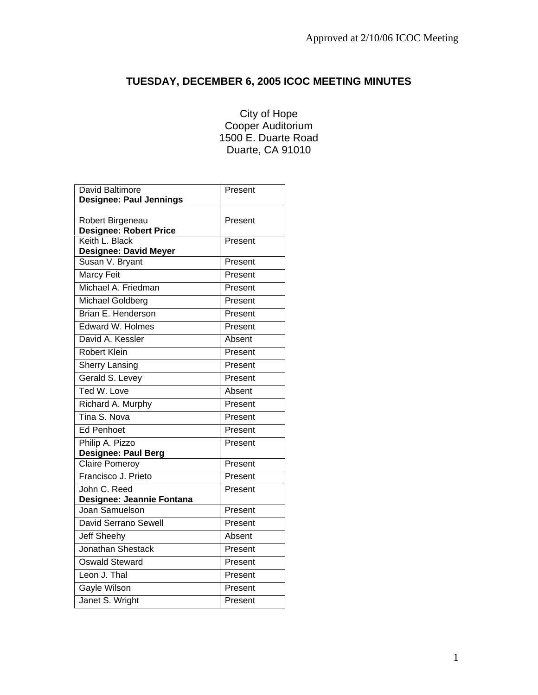# **TUESDAY, DECEMBER 6, 2005 ICOC MEETING MINUTES**

## City of Hope Cooper Auditorium 1500 E. Duarte Road Duarte, CA 91010

| David Baltimore                                   | Present |
|---------------------------------------------------|---------|
| <b>Designee: Paul Jennings</b>                    |         |
| Robert Birgeneau<br><b>Designee: Robert Price</b> | Present |
| Keith L. Black<br><b>Designee: David Meyer</b>    | Present |
| Susan V. Bryant                                   | Present |
| <b>Marcy Feit</b>                                 | Present |
| Michael A. Friedman                               | Present |
| Michael Goldberg                                  | Present |
| <b>Brian E. Henderson</b>                         | Present |
| Edward W. Holmes                                  | Present |
| David A. Kessler                                  | Absent  |
| <b>Robert Klein</b>                               | Present |
| <b>Sherry Lansing</b>                             | Present |
| Gerald S. Levey                                   | Present |
| Ted W. Love                                       | Absent  |
| Richard A. Murphy                                 | Present |
| Tina S. Nova                                      | Present |
| <b>Ed Penhoet</b>                                 | Present |
| Philip A. Pizzo                                   | Present |
| <b>Designee: Paul Berg</b>                        |         |
| <b>Claire Pomeroy</b>                             | Present |
| Francisco J. Prieto                               | Present |
| John C. Reed<br>Designee: Jeannie Fontana         | Present |
| Joan Samuelson                                    | Present |
| David Serrano Sewell                              | Present |
| Jeff Sheehy                                       | Absent  |
| <b>Jonathan Shestack</b>                          | Present |
| Oswald Steward                                    | Present |
| Leon J. Thal                                      | Present |
| Gayle Wilson                                      | Present |
| Janet S. Wright                                   | Present |
|                                                   |         |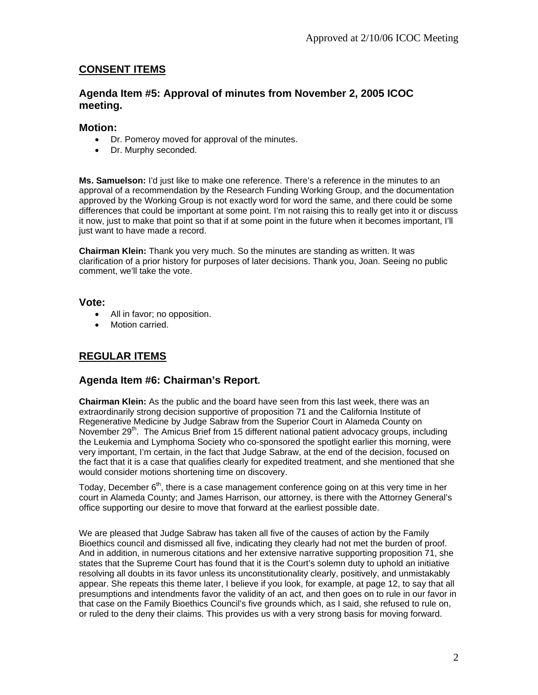### **CONSENT ITEMS**

### **Agenda Item #5: Approval of minutes from November 2, 2005 ICOC meeting.**

### **Motion:**

- Dr. Pomeroy moved for approval of the minutes.
- Dr. Murphy seconded.

**Ms. Samuelson:** I'd just like to make one reference. There's a reference in the minutes to an approval of a recommendation by the Research Funding Working Group, and the documentation approved by the Working Group is not exactly word for word the same, and there could be some differences that could be important at some point. I'm not raising this to really get into it or discuss it now, just to make that point so that if at some point in the future when it becomes important, I'll just want to have made a record.

**Chairman Klein:** Thank you very much. So the minutes are standing as written. It was clarification of a prior history for purposes of later decisions. Thank you, Joan. Seeing no public comment, we'll take the vote.

### **Vote:**

- All in favor; no opposition.
- Motion carried.

# **REGULAR ITEMS**

### **Agenda Item #6: Chairman's Report.**

**Chairman Klein:** As the public and the board have seen from this last week, there was an extraordinarily strong decision supportive of proposition 71 and the California Institute of Regenerative Medicine by Judge Sabraw from the Superior Court in Alameda County on November 29<sup>th</sup>. The Amicus Brief from 15 different national patient advocacy groups, including the Leukemia and Lymphoma Society who co-sponsored the spotlight earlier this morning, were very important, I'm certain, in the fact that Judge Sabraw, at the end of the decision, focused on the fact that it is a case that qualifies clearly for expedited treatment, and she mentioned that she would consider motions shortening time on discovery.

Today, December  $6<sup>th</sup>$ , there is a case management conference going on at this very time in her court in Alameda County; and James Harrison, our attorney, is there with the Attorney General's office supporting our desire to move that forward at the earliest possible date.

We are pleased that Judge Sabraw has taken all five of the causes of action by the Family Bioethics council and dismissed all five, indicating they clearly had not met the burden of proof. And in addition, in numerous citations and her extensive narrative supporting proposition 71, she states that the Supreme Court has found that it is the Court's solemn duty to uphold an initiative resolving all doubts in its favor unless its unconstitutionality clearly, positively, and unmistakably appear. She repeats this theme later, I believe if you look, for example, at page 12, to say that all presumptions and intendments favor the validity of an act, and then goes on to rule in our favor in that case on the Family Bioethics Council's five grounds which, as I said, she refused to rule on, or ruled to the deny their claims. This provides us with a very strong basis for moving forward.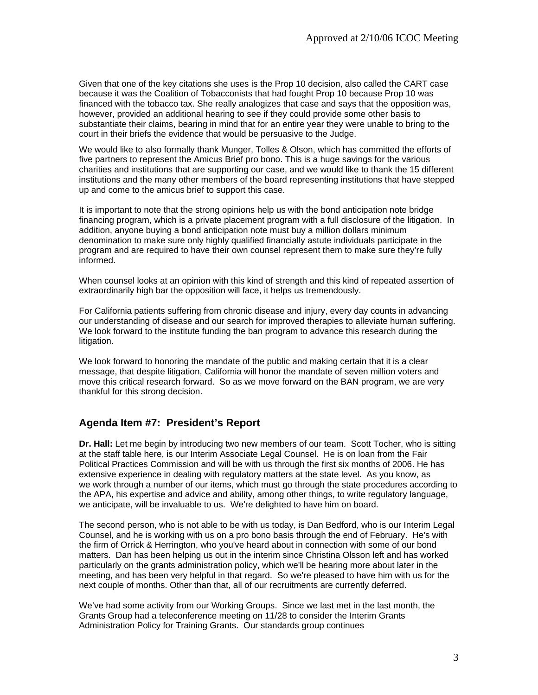Given that one of the key citations she uses is the Prop 10 decision, also called the CART case because it was the Coalition of Tobacconists that had fought Prop 10 because Prop 10 was financed with the tobacco tax. She really analogizes that case and says that the opposition was, however, provided an additional hearing to see if they could provide some other basis to substantiate their claims, bearing in mind that for an entire year they were unable to bring to the court in their briefs the evidence that would be persuasive to the Judge.

We would like to also formally thank Munger, Tolles & Olson, which has committed the efforts of five partners to represent the Amicus Brief pro bono. This is a huge savings for the various charities and institutions that are supporting our case, and we would like to thank the 15 different institutions and the many other members of the board representing institutions that have stepped up and come to the amicus brief to support this case.

It is important to note that the strong opinions help us with the bond anticipation note bridge financing program, which is a private placement program with a full disclosure of the litigation. In addition, anyone buying a bond anticipation note must buy a million dollars minimum denomination to make sure only highly qualified financially astute individuals participate in the program and are required to have their own counsel represent them to make sure they're fully informed.

When counsel looks at an opinion with this kind of strength and this kind of repeated assertion of extraordinarily high bar the opposition will face, it helps us tremendously.

For California patients suffering from chronic disease and injury, every day counts in advancing our understanding of disease and our search for improved therapies to alleviate human suffering. We look forward to the institute funding the ban program to advance this research during the litigation.

We look forward to honoring the mandate of the public and making certain that it is a clear message, that despite litigation, California will honor the mandate of seven million voters and move this critical research forward. So as we move forward on the BAN program, we are very thankful for this strong decision.

### **Agenda Item #7: President's Report**

**Dr. Hall:** Let me begin by introducing two new members of our team. Scott Tocher, who is sitting at the staff table here, is our Interim Associate Legal Counsel. He is on loan from the Fair Political Practices Commission and will be with us through the first six months of 2006. He has extensive experience in dealing with regulatory matters at the state level. As you know, as we work through a number of our items, which must go through the state procedures according to the APA, his expertise and advice and ability, among other things, to write regulatory language, we anticipate, will be invaluable to us. We're delighted to have him on board.

The second person, who is not able to be with us today, is Dan Bedford, who is our Interim Legal Counsel, and he is working with us on a pro bono basis through the end of February. He's with the firm of Orrick & Herrington, who you've heard about in connection with some of our bond matters. Dan has been helping us out in the interim since Christina Olsson left and has worked particularly on the grants administration policy, which we'll be hearing more about later in the meeting, and has been very helpful in that regard. So we're pleased to have him with us for the next couple of months. Other than that, all of our recruitments are currently deferred.

We've had some activity from our Working Groups. Since we last met in the last month, the Grants Group had a teleconference meeting on 11/28 to consider the Interim Grants Administration Policy for Training Grants. Our standards group continues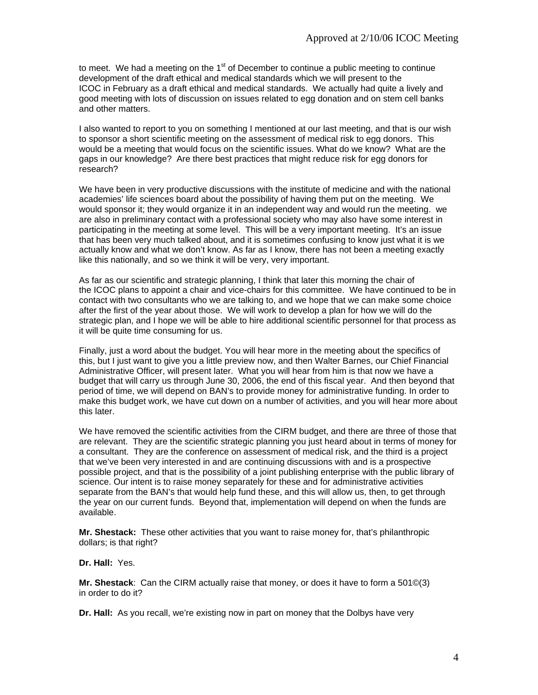to meet. We had a meeting on the  $1<sup>st</sup>$  of December to continue a public meeting to continue development of the draft ethical and medical standards which we will present to the ICOC in February as a draft ethical and medical standards. We actually had quite a lively and good meeting with lots of discussion on issues related to egg donation and on stem cell banks and other matters.

I also wanted to report to you on something I mentioned at our last meeting, and that is our wish to sponsor a short scientific meeting on the assessment of medical risk to egg donors. This would be a meeting that would focus on the scientific issues. What do we know? What are the gaps in our knowledge? Are there best practices that might reduce risk for egg donors for research?

We have been in very productive discussions with the institute of medicine and with the national academies' life sciences board about the possibility of having them put on the meeting. We would sponsor it; they would organize it in an independent way and would run the meeting. we are also in preliminary contact with a professional society who may also have some interest in participating in the meeting at some level. This will be a very important meeting. It's an issue that has been very much talked about, and it is sometimes confusing to know just what it is we actually know and what we don't know. As far as I know, there has not been a meeting exactly like this nationally, and so we think it will be very, very important.

As far as our scientific and strategic planning, I think that later this morning the chair of the ICOC plans to appoint a chair and vice-chairs for this committee. We have continued to be in contact with two consultants who we are talking to, and we hope that we can make some choice after the first of the year about those. We will work to develop a plan for how we will do the strategic plan, and I hope we will be able to hire additional scientific personnel for that process as it will be quite time consuming for us.

Finally, just a word about the budget. You will hear more in the meeting about the specifics of this, but I just want to give you a little preview now, and then Walter Barnes, our Chief Financial Administrative Officer, will present later. What you will hear from him is that now we have a budget that will carry us through June 30, 2006, the end of this fiscal year. And then beyond that period of time, we will depend on BAN's to provide money for administrative funding. In order to make this budget work, we have cut down on a number of activities, and you will hear more about this later.

We have removed the scientific activities from the CIRM budget, and there are three of those that are relevant. They are the scientific strategic planning you just heard about in terms of money for a consultant. They are the conference on assessment of medical risk, and the third is a project that we've been very interested in and are continuing discussions with and is a prospective possible project, and that is the possibility of a joint publishing enterprise with the public library of science. Our intent is to raise money separately for these and for administrative activities separate from the BAN's that would help fund these, and this will allow us, then, to get through the year on our current funds. Beyond that, implementation will depend on when the funds are available.

**Mr. Shestack:** These other activities that you want to raise money for, that's philanthropic dollars; is that right?

**Dr. Hall:** Yes.

**Mr. Shestack**: Can the CIRM actually raise that money, or does it have to form a 501©(3) in order to do it?

**Dr. Hall:** As you recall, we're existing now in part on money that the Dolbys have very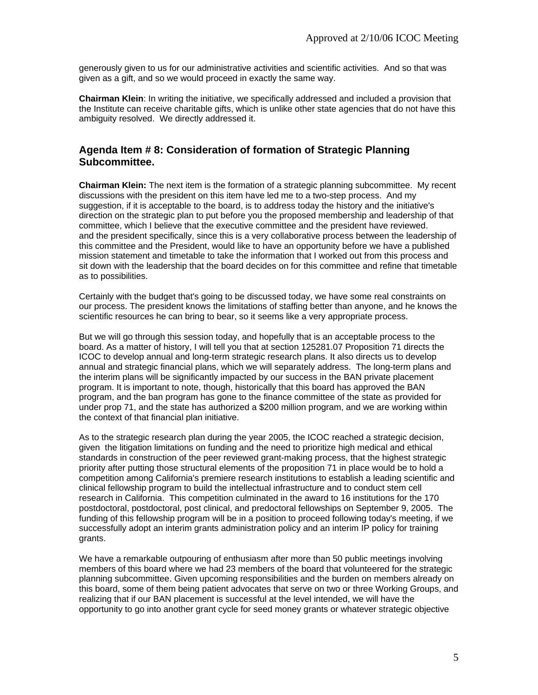generously given to us for our administrative activities and scientific activities. And so that was given as a gift, and so we would proceed in exactly the same way.

**Chairman Klein**: In writing the initiative, we specifically addressed and included a provision that the Institute can receive charitable gifts, which is unlike other state agencies that do not have this ambiguity resolved. We directly addressed it.

### **Agenda Item # 8: Consideration of formation of Strategic Planning Subcommittee.**

**Chairman Klein:** The next item is the formation of a strategic planning subcommittee. My recent discussions with the president on this item have led me to a two-step process. And my suggestion, if it is acceptable to the board, is to address today the history and the initiative's direction on the strategic plan to put before you the proposed membership and leadership of that committee, which I believe that the executive committee and the president have reviewed. and the president specifically, since this is a very collaborative process between the leadership of this committee and the President, would like to have an opportunity before we have a published mission statement and timetable to take the information that I worked out from this process and sit down with the leadership that the board decides on for this committee and refine that timetable as to possibilities.

Certainly with the budget that's going to be discussed today, we have some real constraints on our process. The president knows the limitations of staffing better than anyone, and he knows the scientific resources he can bring to bear, so it seems like a very appropriate process.

But we will go through this session today, and hopefully that is an acceptable process to the board. As a matter of history, I will tell you that at section 125281.07 Proposition 71 directs the ICOC to develop annual and long-term strategic research plans. It also directs us to develop annual and strategic financial plans, which we will separately address. The long-term plans and the interim plans will be significantly impacted by our success in the BAN private placement program. It is important to note, though, historically that this board has approved the BAN program, and the ban program has gone to the finance committee of the state as provided for under prop 71, and the state has authorized a \$200 million program, and we are working within the context of that financial plan initiative.

As to the strategic research plan during the year 2005, the ICOC reached a strategic decision, given the litigation limitations on funding and the need to prioritize high medical and ethical standards in construction of the peer reviewed grant-making process, that the highest strategic priority after putting those structural elements of the proposition 71 in place would be to hold a competition among California's premiere research institutions to establish a leading scientific and clinical fellowship program to build the intellectual infrastructure and to conduct stem cell research in California. This competition culminated in the award to 16 institutions for the 170 postdoctoral, postdoctoral, post clinical, and predoctoral fellowships on September 9, 2005. The funding of this fellowship program will be in a position to proceed following today's meeting, if we successfully adopt an interim grants administration policy and an interim IP policy for training grants.

We have a remarkable outpouring of enthusiasm after more than 50 public meetings involving members of this board where we had 23 members of the board that volunteered for the strategic planning subcommittee. Given upcoming responsibilities and the burden on members already on this board, some of them being patient advocates that serve on two or three Working Groups, and realizing that if our BAN placement is successful at the level intended, we will have the opportunity to go into another grant cycle for seed money grants or whatever strategic objective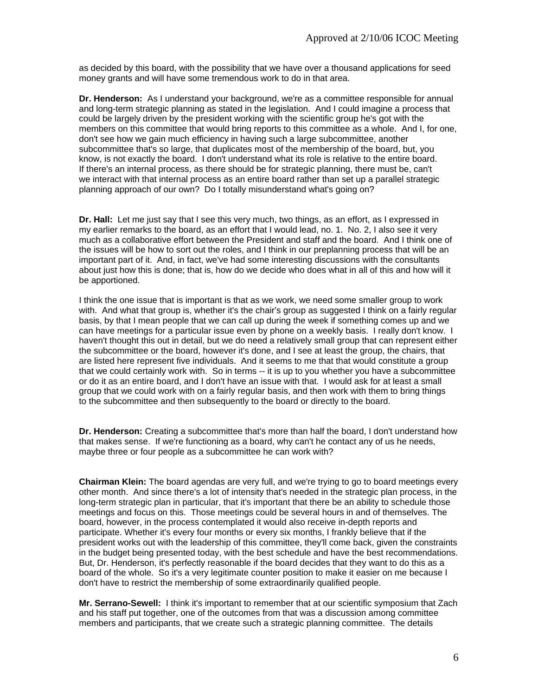as decided by this board, with the possibility that we have over a thousand applications for seed money grants and will have some tremendous work to do in that area.

**Dr. Henderson:** As I understand your background, we're as a committee responsible for annual and long-term strategic planning as stated in the legislation. And I could imagine a process that could be largely driven by the president working with the scientific group he's got with the members on this committee that would bring reports to this committee as a whole. And I, for one, don't see how we gain much efficiency in having such a large subcommittee, another subcommittee that's so large, that duplicates most of the membership of the board, but, you know, is not exactly the board. I don't understand what its role is relative to the entire board. If there's an internal process, as there should be for strategic planning, there must be, can't we interact with that internal process as an entire board rather than set up a parallel strategic planning approach of our own? Do I totally misunderstand what's going on?

**Dr. Hall:** Let me just say that I see this very much, two things, as an effort, as I expressed in my earlier remarks to the board, as an effort that I would lead, no. 1. No. 2, I also see it very much as a collaborative effort between the President and staff and the board. And I think one of the issues will be how to sort out the roles, and I think in our preplanning process that will be an important part of it. And, in fact, we've had some interesting discussions with the consultants about just how this is done; that is, how do we decide who does what in all of this and how will it be apportioned.

I think the one issue that is important is that as we work, we need some smaller group to work with. And what that group is, whether it's the chair's group as suggested I think on a fairly regular basis, by that I mean people that we can call up during the week if something comes up and we can have meetings for a particular issue even by phone on a weekly basis. I really don't know. I haven't thought this out in detail, but we do need a relatively small group that can represent either the subcommittee or the board, however it's done, and I see at least the group, the chairs, that are listed here represent five individuals. And it seems to me that that would constitute a group that we could certainly work with. So in terms -- it is up to you whether you have a subcommittee or do it as an entire board, and I don't have an issue with that. I would ask for at least a small group that we could work with on a fairly regular basis, and then work with them to bring things to the subcommittee and then subsequently to the board or directly to the board.

**Dr. Henderson:** Creating a subcommittee that's more than half the board, I don't understand how that makes sense. If we're functioning as a board, why can't he contact any of us he needs, maybe three or four people as a subcommittee he can work with?

**Chairman Klein:** The board agendas are very full, and we're trying to go to board meetings every other month. And since there's a lot of intensity that's needed in the strategic plan process, in the long-term strategic plan in particular, that it's important that there be an ability to schedule those meetings and focus on this. Those meetings could be several hours in and of themselves. The board, however, in the process contemplated it would also receive in-depth reports and participate. Whether it's every four months or every six months, I frankly believe that if the president works out with the leadership of this committee, they'll come back, given the constraints in the budget being presented today, with the best schedule and have the best recommendations. But, Dr. Henderson, it's perfectly reasonable if the board decides that they want to do this as a board of the whole. So it's a very legitimate counter position to make it easier on me because I don't have to restrict the membership of some extraordinarily qualified people.

**Mr. Serrano-Sewell:** I think it's important to remember that at our scientific symposium that Zach and his staff put together, one of the outcomes from that was a discussion among committee members and participants, that we create such a strategic planning committee. The details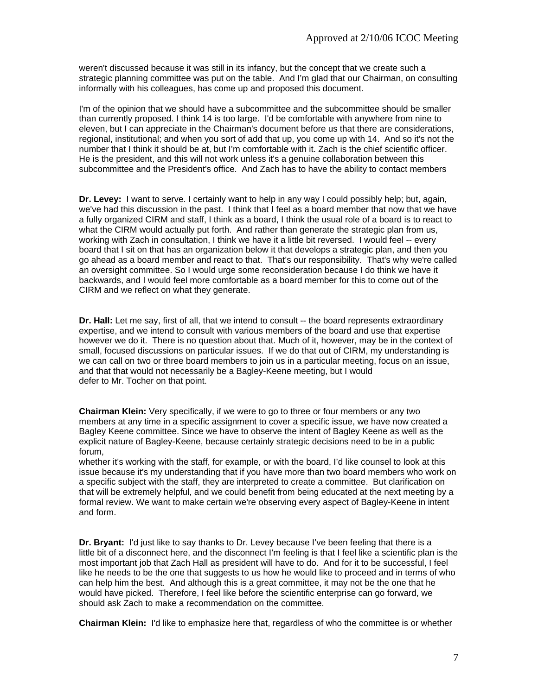weren't discussed because it was still in its infancy, but the concept that we create such a strategic planning committee was put on the table. And I'm glad that our Chairman, on consulting informally with his colleagues, has come up and proposed this document.

I'm of the opinion that we should have a subcommittee and the subcommittee should be smaller than currently proposed. I think 14 is too large. I'd be comfortable with anywhere from nine to eleven, but I can appreciate in the Chairman's document before us that there are considerations, regional, institutional; and when you sort of add that up, you come up with 14. And so it's not the number that I think it should be at, but I'm comfortable with it. Zach is the chief scientific officer. He is the president, and this will not work unless it's a genuine collaboration between this subcommittee and the President's office. And Zach has to have the ability to contact members

**Dr. Levey:** I want to serve. I certainly want to help in any way I could possibly help; but, again, we've had this discussion in the past. I think that I feel as a board member that now that we have a fully organized CIRM and staff, I think as a board, I think the usual role of a board is to react to what the CIRM would actually put forth. And rather than generate the strategic plan from us, working with Zach in consultation, I think we have it a little bit reversed. I would feel -- every board that I sit on that has an organization below it that develops a strategic plan, and then you go ahead as a board member and react to that. That's our responsibility. That's why we're called an oversight committee. So I would urge some reconsideration because I do think we have it backwards, and I would feel more comfortable as a board member for this to come out of the CIRM and we reflect on what they generate.

**Dr. Hall:** Let me say, first of all, that we intend to consult -- the board represents extraordinary expertise, and we intend to consult with various members of the board and use that expertise however we do it. There is no question about that. Much of it, however, may be in the context of small, focused discussions on particular issues. If we do that out of CIRM, my understanding is we can call on two or three board members to join us in a particular meeting, focus on an issue, and that that would not necessarily be a Bagley-Keene meeting, but I would defer to Mr. Tocher on that point.

**Chairman Klein:** Very specifically, if we were to go to three or four members or any two members at any time in a specific assignment to cover a specific issue, we have now created a Bagley Keene committee. Since we have to observe the intent of Bagley Keene as well as the explicit nature of Bagley-Keene, because certainly strategic decisions need to be in a public forum,

whether it's working with the staff, for example, or with the board, I'd like counsel to look at this issue because it's my understanding that if you have more than two board members who work on a specific subject with the staff, they are interpreted to create a committee. But clarification on that will be extremely helpful, and we could benefit from being educated at the next meeting by a formal review. We want to make certain we're observing every aspect of Bagley-Keene in intent and form.

**Dr. Bryant:** I'd just like to say thanks to Dr. Levey because I've been feeling that there is a little bit of a disconnect here, and the disconnect I'm feeling is that I feel like a scientific plan is the most important job that Zach Hall as president will have to do. And for it to be successful, I feel like he needs to be the one that suggests to us how he would like to proceed and in terms of who can help him the best. And although this is a great committee, it may not be the one that he would have picked. Therefore, I feel like before the scientific enterprise can go forward, we should ask Zach to make a recommendation on the committee.

**Chairman Klein:** I'd like to emphasize here that, regardless of who the committee is or whether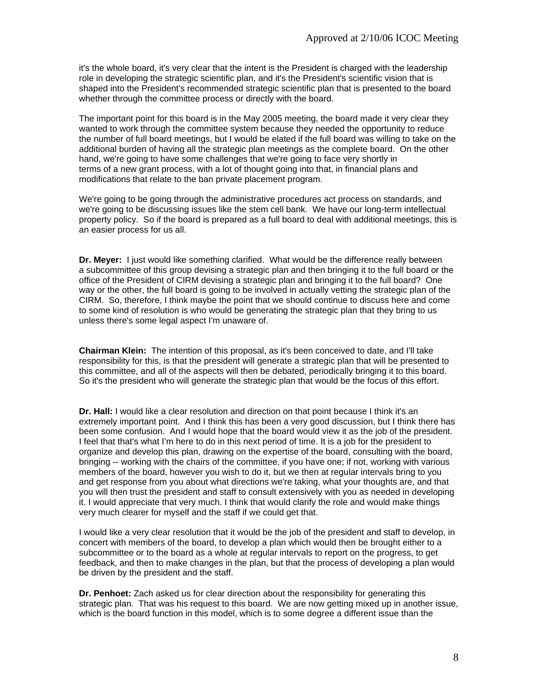it's the whole board, it's very clear that the intent is the President is charged with the leadership role in developing the strategic scientific plan, and it's the President's scientific vision that is shaped into the President's recommended strategic scientific plan that is presented to the board whether through the committee process or directly with the board.

The important point for this board is in the May 2005 meeting, the board made it very clear they wanted to work through the committee system because they needed the opportunity to reduce the number of full board meetings, but I would be elated if the full board was willing to take on the additional burden of having all the strategic plan meetings as the complete board. On the other hand, we're going to have some challenges that we're going to face very shortly in terms of a new grant process, with a lot of thought going into that, in financial plans and modifications that relate to the ban private placement program.

We're going to be going through the administrative procedures act process on standards, and we're going to be discussing issues like the stem cell bank. We have our long-term intellectual property policy. So if the board is prepared as a full board to deal with additional meetings, this is an easier process for us all.

**Dr. Meyer:** I just would like something clarified. What would be the difference really between a subcommittee of this group devising a strategic plan and then bringing it to the full board or the office of the President of CIRM devising a strategic plan and bringing it to the full board? One way or the other, the full board is going to be involved in actually vetting the strategic plan of the CIRM. So, therefore, I think maybe the point that we should continue to discuss here and come to some kind of resolution is who would be generating the strategic plan that they bring to us unless there's some legal aspect I'm unaware of.

**Chairman Klein:** The intention of this proposal, as it's been conceived to date, and I'll take responsibility for this, is that the president will generate a strategic plan that will be presented to this committee, and all of the aspects will then be debated, periodically bringing it to this board. So it's the president who will generate the strategic plan that would be the focus of this effort.

**Dr. Hall:** I would like a clear resolution and direction on that point because I think it's an extremely important point. And I think this has been a very good discussion, but I think there has been some confusion. And I would hope that the board would view it as the job of the president. I feel that that's what I'm here to do in this next period of time. It is a job for the president to organize and develop this plan, drawing on the expertise of the board, consulting with the board, bringing -- working with the chairs of the committee, if you have one; if not, working with various members of the board, however you wish to do it, but we then at regular intervals bring to you and get response from you about what directions we're taking, what your thoughts are, and that you will then trust the president and staff to consult extensively with you as needed in developing it. I would appreciate that very much. I think that would clarify the role and would make things very much clearer for myself and the staff if we could get that.

I would like a very clear resolution that it would be the job of the president and staff to develop, in concert with members of the board, to develop a plan which would then be brought either to a subcommittee or to the board as a whole at regular intervals to report on the progress, to get feedback, and then to make changes in the plan, but that the process of developing a plan would be driven by the president and the staff.

**Dr. Penhoet:** Zach asked us for clear direction about the responsibility for generating this strategic plan. That was his request to this board. We are now getting mixed up in another issue, which is the board function in this model, which is to some degree a different issue than the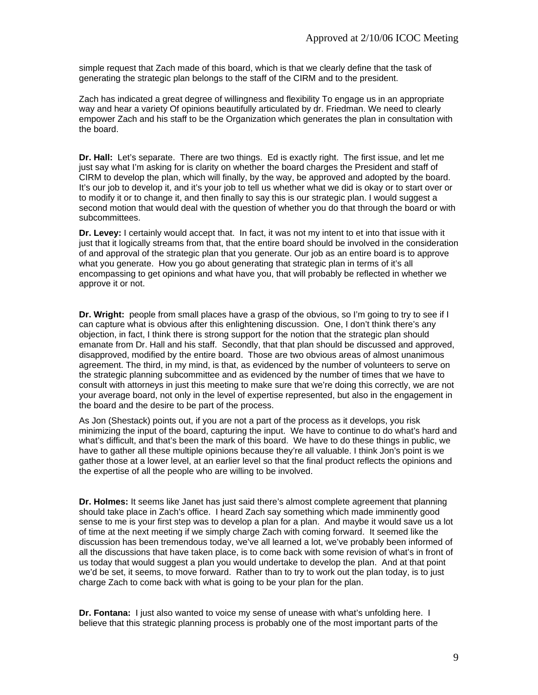simple request that Zach made of this board, which is that we clearly define that the task of generating the strategic plan belongs to the staff of the CIRM and to the president.

Zach has indicated a great degree of willingness and flexibility To engage us in an appropriate way and hear a variety Of opinions beautifully articulated by dr. Friedman. We need to clearly empower Zach and his staff to be the Organization which generates the plan in consultation with the board.

**Dr. Hall:** Let's separate. There are two things. Ed is exactly right. The first issue, and let me just say what I'm asking for is clarity on whether the board charges the President and staff of CIRM to develop the plan, which will finally, by the way, be approved and adopted by the board. It's our job to develop it, and it's your job to tell us whether what we did is okay or to start over or to modify it or to change it, and then finally to say this is our strategic plan. I would suggest a second motion that would deal with the question of whether you do that through the board or with subcommittees.

**Dr. Levey:** I certainly would accept that. In fact, it was not my intent to et into that issue with it just that it logically streams from that, that the entire board should be involved in the consideration of and approval of the strategic plan that you generate. Our job as an entire board is to approve what you generate. How you go about generating that strategic plan in terms of it's all encompassing to get opinions and what have you, that will probably be reflected in whether we approve it or not.

**Dr. Wright:** people from small places have a grasp of the obvious, so I'm going to try to see if I can capture what is obvious after this enlightening discussion. One, I don't think there's any objection, in fact, I think there is strong support for the notion that the strategic plan should emanate from Dr. Hall and his staff. Secondly, that that plan should be discussed and approved, disapproved, modified by the entire board. Those are two obvious areas of almost unanimous agreement. The third, in my mind, is that, as evidenced by the number of volunteers to serve on the strategic planning subcommittee and as evidenced by the number of times that we have to consult with attorneys in just this meeting to make sure that we're doing this correctly, we are not your average board, not only in the level of expertise represented, but also in the engagement in the board and the desire to be part of the process.

As Jon (Shestack) points out, if you are not a part of the process as it develops, you risk minimizing the input of the board, capturing the input. We have to continue to do what's hard and what's difficult, and that's been the mark of this board. We have to do these things in public, we have to gather all these multiple opinions because they're all valuable. I think Jon's point is we gather those at a lower level, at an earlier level so that the final product reflects the opinions and the expertise of all the people who are willing to be involved.

**Dr. Holmes:** It seems like Janet has just said there's almost complete agreement that planning should take place in Zach's office. I heard Zach say something which made imminently good sense to me is your first step was to develop a plan for a plan. And maybe it would save us a lot of time at the next meeting if we simply charge Zach with coming forward. It seemed like the discussion has been tremendous today, we've all learned a lot, we've probably been informed of all the discussions that have taken place, is to come back with some revision of what's in front of us today that would suggest a plan you would undertake to develop the plan. And at that point we'd be set, it seems, to move forward. Rather than to try to work out the plan today, is to just charge Zach to come back with what is going to be your plan for the plan.

**Dr. Fontana:** I just also wanted to voice my sense of unease with what's unfolding here. I believe that this strategic planning process is probably one of the most important parts of the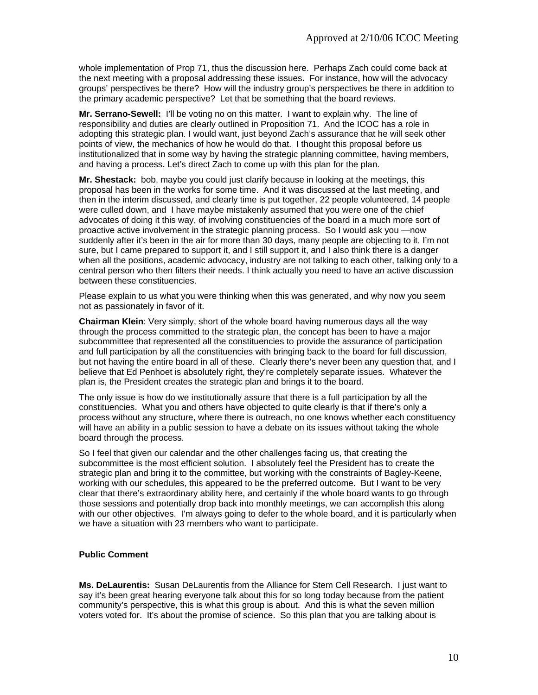whole implementation of Prop 71, thus the discussion here. Perhaps Zach could come back at the next meeting with a proposal addressing these issues. For instance, how will the advocacy groups' perspectives be there? How will the industry group's perspectives be there in addition to the primary academic perspective? Let that be something that the board reviews.

**Mr. Serrano-Sewell:** I'll be voting no on this matter. I want to explain why. The line of responsibility and duties are clearly outlined in Proposition 71. And the ICOC has a role in adopting this strategic plan. I would want, just beyond Zach's assurance that he will seek other points of view, the mechanics of how he would do that. I thought this proposal before us institutionalized that in some way by having the strategic planning committee, having members, and having a process. Let's direct Zach to come up with this plan for the plan.

**Mr. Shestack:** bob, maybe you could just clarify because in looking at the meetings, this proposal has been in the works for some time. And it was discussed at the last meeting, and then in the interim discussed, and clearly time is put together, 22 people volunteered, 14 people were culled down, and I have maybe mistakenly assumed that you were one of the chief advocates of doing it this way, of involving constituencies of the board in a much more sort of proactive active involvement in the strategic planning process. So I would ask you —now suddenly after it's been in the air for more than 30 days, many people are objecting to it. I'm not sure, but I came prepared to support it, and I still support it, and I also think there is a danger when all the positions, academic advocacy, industry are not talking to each other, talking only to a central person who then filters their needs. I think actually you need to have an active discussion between these constituencies.

Please explain to us what you were thinking when this was generated, and why now you seem not as passionately in favor of it.

**Chairman Klein**: Very simply, short of the whole board having numerous days all the way through the process committed to the strategic plan, the concept has been to have a major subcommittee that represented all the constituencies to provide the assurance of participation and full participation by all the constituencies with bringing back to the board for full discussion, but not having the entire board in all of these. Clearly there's never been any question that, and I believe that Ed Penhoet is absolutely right, they're completely separate issues. Whatever the plan is, the President creates the strategic plan and brings it to the board.

The only issue is how do we institutionally assure that there is a full participation by all the constituencies. What you and others have objected to quite clearly is that if there's only a process without any structure, where there is outreach, no one knows whether each constituency will have an ability in a public session to have a debate on its issues without taking the whole board through the process.

So I feel that given our calendar and the other challenges facing us, that creating the subcommittee is the most efficient solution. I absolutely feel the President has to create the strategic plan and bring it to the committee, but working with the constraints of Bagley-Keene, working with our schedules, this appeared to be the preferred outcome. But I want to be very clear that there's extraordinary ability here, and certainly if the whole board wants to go through those sessions and potentially drop back into monthly meetings, we can accomplish this along with our other objectives. I'm always going to defer to the whole board, and it is particularly when we have a situation with 23 members who want to participate.

#### **Public Comment**

**Ms. DeLaurentis:** Susan DeLaurentis from the Alliance for Stem Cell Research. I just want to say it's been great hearing everyone talk about this for so long today because from the patient community's perspective, this is what this group is about. And this is what the seven million voters voted for. It's about the promise of science. So this plan that you are talking about is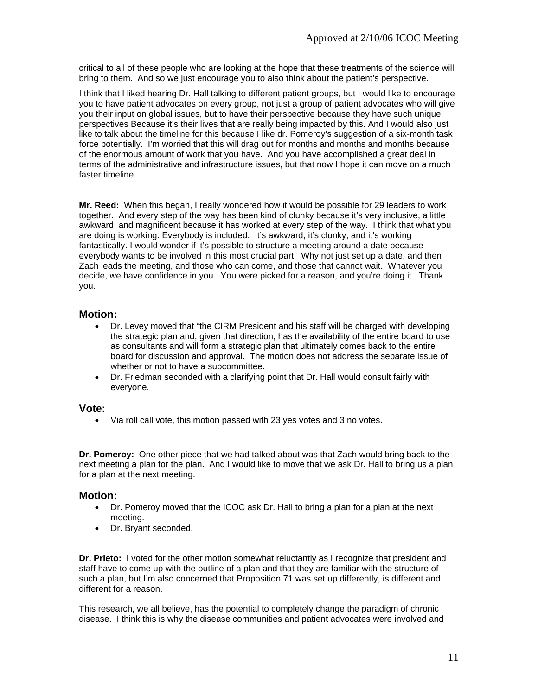critical to all of these people who are looking at the hope that these treatments of the science will bring to them. And so we just encourage you to also think about the patient's perspective.

I think that I liked hearing Dr. Hall talking to different patient groups, but I would like to encourage you to have patient advocates on every group, not just a group of patient advocates who will give you their input on global issues, but to have their perspective because they have such unique perspectives Because it's their lives that are really being impacted by this. And I would also just like to talk about the timeline for this because I like dr. Pomeroy's suggestion of a six-month task force potentially. I'm worried that this will drag out for months and months and months because of the enormous amount of work that you have. And you have accomplished a great deal in terms of the administrative and infrastructure issues, but that now I hope it can move on a much faster timeline.

**Mr. Reed:** When this began, I really wondered how it would be possible for 29 leaders to work together. And every step of the way has been kind of clunky because it's very inclusive, a little awkward, and magnificent because it has worked at every step of the way. I think that what you are doing is working. Everybody is included. It's awkward, it's clunky, and it's working fantastically. I would wonder if it's possible to structure a meeting around a date because everybody wants to be involved in this most crucial part. Why not just set up a date, and then Zach leads the meeting, and those who can come, and those that cannot wait. Whatever you decide, we have confidence in you. You were picked for a reason, and you're doing it. Thank you.

### **Motion:**

- Dr. Levey moved that "the CIRM President and his staff will be charged with developing the strategic plan and, given that direction, has the availability of the entire board to use as consultants and will form a strategic plan that ultimately comes back to the entire board for discussion and approval. The motion does not address the separate issue of whether or not to have a subcommittee.
- Dr. Friedman seconded with a clarifying point that Dr. Hall would consult fairly with everyone.

#### **Vote:**

• Via roll call vote, this motion passed with 23 yes votes and 3 no votes.

**Dr. Pomeroy:** One other piece that we had talked about was that Zach would bring back to the next meeting a plan for the plan. And I would like to move that we ask Dr. Hall to bring us a plan for a plan at the next meeting.

#### **Motion:**

- Dr. Pomeroy moved that the ICOC ask Dr. Hall to bring a plan for a plan at the next meeting.
- Dr. Bryant seconded.

**Dr. Prieto:** I voted for the other motion somewhat reluctantly as I recognize that president and staff have to come up with the outline of a plan and that they are familiar with the structure of such a plan, but I'm also concerned that Proposition 71 was set up differently, is different and different for a reason.

This research, we all believe, has the potential to completely change the paradigm of chronic disease. I think this is why the disease communities and patient advocates were involved and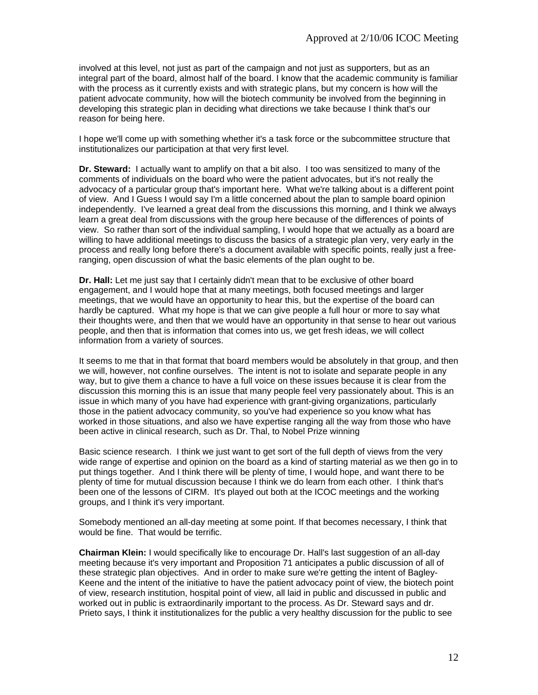involved at this level, not just as part of the campaign and not just as supporters, but as an integral part of the board, almost half of the board. I know that the academic community is familiar with the process as it currently exists and with strategic plans, but my concern is how will the patient advocate community, how will the biotech community be involved from the beginning in developing this strategic plan in deciding what directions we take because I think that's our reason for being here.

I hope we'll come up with something whether it's a task force or the subcommittee structure that institutionalizes our participation at that very first level.

**Dr. Steward:** I actually want to amplify on that a bit also. I too was sensitized to many of the comments of individuals on the board who were the patient advocates, but it's not really the advocacy of a particular group that's important here. What we're talking about is a different point of view. And I Guess I would say I'm a little concerned about the plan to sample board opinion independently. I've learned a great deal from the discussions this morning, and I think we always learn a great deal from discussions with the group here because of the differences of points of view. So rather than sort of the individual sampling, I would hope that we actually as a board are willing to have additional meetings to discuss the basics of a strategic plan very, very early in the process and really long before there's a document available with specific points, really just a freeranging, open discussion of what the basic elements of the plan ought to be.

**Dr. Hall:** Let me just say that I certainly didn't mean that to be exclusive of other board engagement, and I would hope that at many meetings, both focused meetings and larger meetings, that we would have an opportunity to hear this, but the expertise of the board can hardly be captured. What my hope is that we can give people a full hour or more to say what their thoughts were, and then that we would have an opportunity in that sense to hear out various people, and then that is information that comes into us, we get fresh ideas, we will collect information from a variety of sources.

It seems to me that in that format that board members would be absolutely in that group, and then we will, however, not confine ourselves. The intent is not to isolate and separate people in any way, but to give them a chance to have a full voice on these issues because it is clear from the discussion this morning this is an issue that many people feel very passionately about. This is an issue in which many of you have had experience with grant-giving organizations, particularly those in the patient advocacy community, so you've had experience so you know what has worked in those situations, and also we have expertise ranging all the way from those who have been active in clinical research, such as Dr. Thal, to Nobel Prize winning

Basic science research. I think we just want to get sort of the full depth of views from the very wide range of expertise and opinion on the board as a kind of starting material as we then go in to put things together. And I think there will be plenty of time, I would hope, and want there to be plenty of time for mutual discussion because I think we do learn from each other. I think that's been one of the lessons of CIRM. It's played out both at the ICOC meetings and the working groups, and I think it's very important.

Somebody mentioned an all-day meeting at some point. If that becomes necessary, I think that would be fine. That would be terrific.

**Chairman Klein:** I would specifically like to encourage Dr. Hall's last suggestion of an all-day meeting because it's very important and Proposition 71 anticipates a public discussion of all of these strategic plan objectives. And in order to make sure we're getting the intent of Bagley-Keene and the intent of the initiative to have the patient advocacy point of view, the biotech point of view, research institution, hospital point of view, all laid in public and discussed in public and worked out in public is extraordinarily important to the process. As Dr. Steward says and dr. Prieto says, I think it institutionalizes for the public a very healthy discussion for the public to see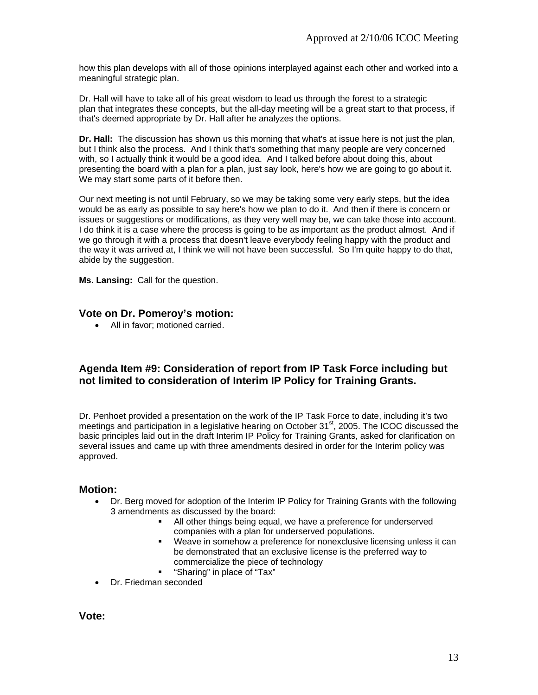how this plan develops with all of those opinions interplayed against each other and worked into a meaningful strategic plan.

Dr. Hall will have to take all of his great wisdom to lead us through the forest to a strategic plan that integrates these concepts, but the all-day meeting will be a great start to that process, if that's deemed appropriate by Dr. Hall after he analyzes the options.

**Dr. Hall:** The discussion has shown us this morning that what's at issue here is not just the plan, but I think also the process. And I think that's something that many people are very concerned with, so I actually think it would be a good idea. And I talked before about doing this, about presenting the board with a plan for a plan, just say look, here's how we are going to go about it. We may start some parts of it before then.

Our next meeting is not until February, so we may be taking some very early steps, but the idea would be as early as possible to say here's how we plan to do it. And then if there is concern or issues or suggestions or modifications, as they very well may be, we can take those into account. I do think it is a case where the process is going to be as important as the product almost. And if we go through it with a process that doesn't leave everybody feeling happy with the product and the way it was arrived at, I think we will not have been successful. So I'm quite happy to do that, abide by the suggestion.

**Ms. Lansing:** Call for the question.

### **Vote on Dr. Pomeroy's motion:**

• All in favor; motioned carried.

### **Agenda Item #9: Consideration of report from IP Task Force including but not limited to consideration of Interim IP Policy for Training Grants.**

Dr. Penhoet provided a presentation on the work of the IP Task Force to date, including it's two meetings and participation in a legislative hearing on October 31<sup>st</sup>, 2005. The ICOC discussed the basic principles laid out in the draft Interim IP Policy for Training Grants, asked for clarification on several issues and came up with three amendments desired in order for the Interim policy was approved.

#### **Motion:**

- Dr. Berg moved for adoption of the Interim IP Policy for Training Grants with the following 3 amendments as discussed by the board:
	- All other things being equal, we have a preference for underserved companies with a plan for underserved populations.
	- Weave in somehow a preference for nonexclusive licensing unless it can be demonstrated that an exclusive license is the preferred way to commercialize the piece of technology
	- "Sharing" in place of "Tax"
- Dr. Friedman seconded

**Vote:**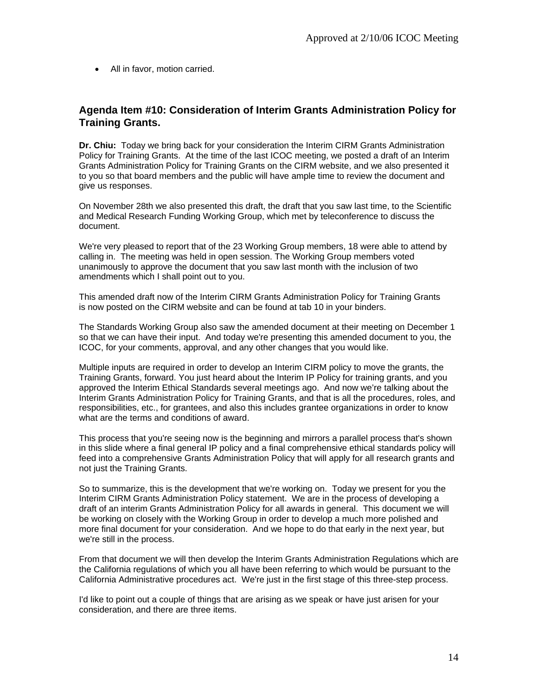• All in favor, motion carried.

### **Agenda Item #10: Consideration of Interim Grants Administration Policy for Training Grants.**

**Dr. Chiu:** Today we bring back for your consideration the Interim CIRM Grants Administration Policy for Training Grants. At the time of the last ICOC meeting, we posted a draft of an Interim Grants Administration Policy for Training Grants on the CIRM website, and we also presented it to you so that board members and the public will have ample time to review the document and give us responses.

On November 28th we also presented this draft, the draft that you saw last time, to the Scientific and Medical Research Funding Working Group, which met by teleconference to discuss the document.

We're very pleased to report that of the 23 Working Group members, 18 were able to attend by calling in. The meeting was held in open session. The Working Group members voted unanimously to approve the document that you saw last month with the inclusion of two amendments which I shall point out to you.

This amended draft now of the Interim CIRM Grants Administration Policy for Training Grants is now posted on the CIRM website and can be found at tab 10 in your binders.

The Standards Working Group also saw the amended document at their meeting on December 1 so that we can have their input. And today we're presenting this amended document to you, the ICOC, for your comments, approval, and any other changes that you would like.

Multiple inputs are required in order to develop an Interim CIRM policy to move the grants, the Training Grants, forward. You just heard about the Interim IP Policy for training grants, and you approved the Interim Ethical Standards several meetings ago. And now we're talking about the Interim Grants Administration Policy for Training Grants, and that is all the procedures, roles, and responsibilities, etc., for grantees, and also this includes grantee organizations in order to know what are the terms and conditions of award.

This process that you're seeing now is the beginning and mirrors a parallel process that's shown in this slide where a final general IP policy and a final comprehensive ethical standards policy will feed into a comprehensive Grants Administration Policy that will apply for all research grants and not just the Training Grants.

So to summarize, this is the development that we're working on. Today we present for you the Interim CIRM Grants Administration Policy statement. We are in the process of developing a draft of an interim Grants Administration Policy for all awards in general. This document we will be working on closely with the Working Group in order to develop a much more polished and more final document for your consideration. And we hope to do that early in the next year, but we're still in the process.

From that document we will then develop the Interim Grants Administration Regulations which are the California regulations of which you all have been referring to which would be pursuant to the California Administrative procedures act. We're just in the first stage of this three-step process.

I'd like to point out a couple of things that are arising as we speak or have just arisen for your consideration, and there are three items.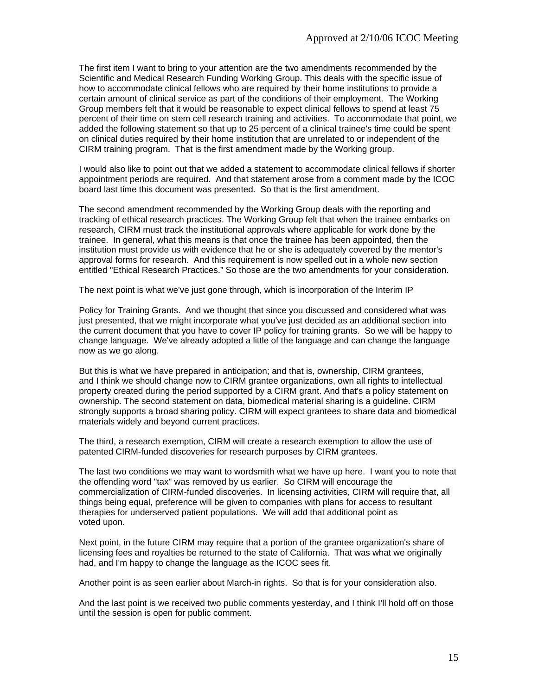The first item I want to bring to your attention are the two amendments recommended by the Scientific and Medical Research Funding Working Group. This deals with the specific issue of how to accommodate clinical fellows who are required by their home institutions to provide a certain amount of clinical service as part of the conditions of their employment. The Working Group members felt that it would be reasonable to expect clinical fellows to spend at least 75 percent of their time on stem cell research training and activities. To accommodate that point, we added the following statement so that up to 25 percent of a clinical trainee's time could be spent on clinical duties required by their home institution that are unrelated to or independent of the CIRM training program. That is the first amendment made by the Working group.

I would also like to point out that we added a statement to accommodate clinical fellows if shorter appointment periods are required. And that statement arose from a comment made by the ICOC board last time this document was presented. So that is the first amendment.

The second amendment recommended by the Working Group deals with the reporting and tracking of ethical research practices. The Working Group felt that when the trainee embarks on research, CIRM must track the institutional approvals where applicable for work done by the trainee. In general, what this means is that once the trainee has been appointed, then the institution must provide us with evidence that he or she is adequately covered by the mentor's approval forms for research. And this requirement is now spelled out in a whole new section entitled "Ethical Research Practices." So those are the two amendments for your consideration.

The next point is what we've just gone through, which is incorporation of the Interim IP

Policy for Training Grants. And we thought that since you discussed and considered what was just presented, that we might incorporate what you've just decided as an additional section into the current document that you have to cover IP policy for training grants. So we will be happy to change language. We've already adopted a little of the language and can change the language now as we go along.

But this is what we have prepared in anticipation; and that is, ownership, CIRM grantees, and I think we should change now to CIRM grantee organizations, own all rights to intellectual property created during the period supported by a CIRM grant. And that's a policy statement on ownership. The second statement on data, biomedical material sharing is a guideline. CIRM strongly supports a broad sharing policy. CIRM will expect grantees to share data and biomedical materials widely and beyond current practices.

The third, a research exemption, CIRM will create a research exemption to allow the use of patented CIRM-funded discoveries for research purposes by CIRM grantees.

The last two conditions we may want to wordsmith what we have up here. I want you to note that the offending word "tax" was removed by us earlier. So CIRM will encourage the commercialization of CIRM-funded discoveries. In licensing activities, CIRM will require that, all things being equal, preference will be given to companies with plans for access to resultant therapies for underserved patient populations. We will add that additional point as voted upon.

Next point, in the future CIRM may require that a portion of the grantee organization's share of licensing fees and royalties be returned to the state of California. That was what we originally had, and I'm happy to change the language as the ICOC sees fit.

Another point is as seen earlier about March-in rights. So that is for your consideration also.

And the last point is we received two public comments yesterday, and I think I'll hold off on those until the session is open for public comment.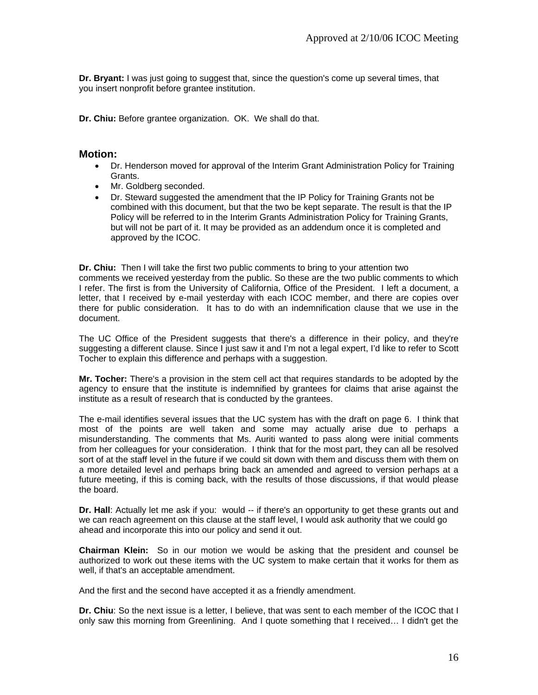**Dr. Bryant:** I was just going to suggest that, since the question's come up several times, that you insert nonprofit before grantee institution.

**Dr. Chiu:** Before grantee organization. OK. We shall do that.

#### **Motion:**

- Dr. Henderson moved for approval of the Interim Grant Administration Policy for Training Grants.
- Mr. Goldberg seconded.
- Dr. Steward suggested the amendment that the IP Policy for Training Grants not be combined with this document, but that the two be kept separate. The result is that the IP Policy will be referred to in the Interim Grants Administration Policy for Training Grants, but will not be part of it. It may be provided as an addendum once it is completed and approved by the ICOC.

**Dr. Chiu:** Then I will take the first two public comments to bring to your attention two comments we received yesterday from the public. So these are the two public comments to which I refer. The first is from the University of California, Office of the President. I left a document, a letter, that I received by e-mail yesterday with each ICOC member, and there are copies over there for public consideration. It has to do with an indemnification clause that we use in the document.

The UC Office of the President suggests that there's a difference in their policy, and they're suggesting a different clause. Since I just saw it and I'm not a legal expert, I'd like to refer to Scott Tocher to explain this difference and perhaps with a suggestion.

**Mr. Tocher:** There's a provision in the stem cell act that requires standards to be adopted by the agency to ensure that the institute is indemnified by grantees for claims that arise against the institute as a result of research that is conducted by the grantees.

The e-mail identifies several issues that the UC system has with the draft on page 6. I think that most of the points are well taken and some may actually arise due to perhaps a misunderstanding. The comments that Ms. Auriti wanted to pass along were initial comments from her colleagues for your consideration. I think that for the most part, they can all be resolved sort of at the staff level in the future if we could sit down with them and discuss them with them on a more detailed level and perhaps bring back an amended and agreed to version perhaps at a future meeting, if this is coming back, with the results of those discussions, if that would please the board.

**Dr. Hall**: Actually let me ask if you: would -- if there's an opportunity to get these grants out and we can reach agreement on this clause at the staff level, I would ask authority that we could go ahead and incorporate this into our policy and send it out.

**Chairman Klein:** So in our motion we would be asking that the president and counsel be authorized to work out these items with the UC system to make certain that it works for them as well, if that's an acceptable amendment.

And the first and the second have accepted it as a friendly amendment.

**Dr. Chiu**: So the next issue is a letter, I believe, that was sent to each member of the ICOC that I only saw this morning from Greenlining. And I quote something that I received… I didn't get the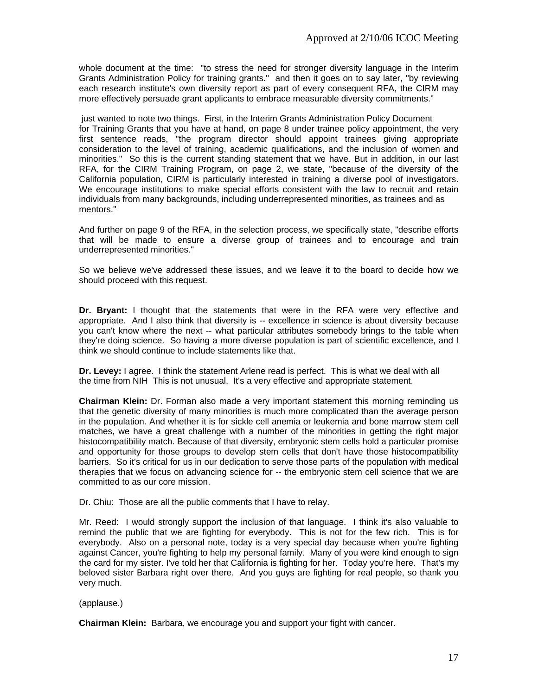whole document at the time: "to stress the need for stronger diversity language in the Interim Grants Administration Policy for training grants." and then it goes on to say later, "by reviewing each research institute's own diversity report as part of every consequent RFA, the CIRM may more effectively persuade grant applicants to embrace measurable diversity commitments."

 just wanted to note two things. First, in the Interim Grants Administration Policy Document for Training Grants that you have at hand, on page 8 under trainee policy appointment, the very first sentence reads, "the program director should appoint trainees giving appropriate consideration to the level of training, academic qualifications, and the inclusion of women and minorities." So this is the current standing statement that we have. But in addition, in our last RFA, for the CIRM Training Program, on page 2, we state, "because of the diversity of the California population, CIRM is particularly interested in training a diverse pool of investigators. We encourage institutions to make special efforts consistent with the law to recruit and retain individuals from many backgrounds, including underrepresented minorities, as trainees and as mentors."

And further on page 9 of the RFA, in the selection process, we specifically state, "describe efforts that will be made to ensure a diverse group of trainees and to encourage and train underrepresented minorities."

So we believe we've addressed these issues, and we leave it to the board to decide how we should proceed with this request.

**Dr. Bryant:** I thought that the statements that were in the RFA were very effective and appropriate. And I also think that diversity is -- excellence in science is about diversity because you can't know where the next -- what particular attributes somebody brings to the table when they're doing science. So having a more diverse population is part of scientific excellence, and I think we should continue to include statements like that.

**Dr. Levey:** I agree. I think the statement Arlene read is perfect. This is what we deal with all the time from NIH This is not unusual. It's a very effective and appropriate statement.

**Chairman Klein:** Dr. Forman also made a very important statement this morning reminding us that the genetic diversity of many minorities is much more complicated than the average person in the population. And whether it is for sickle cell anemia or leukemia and bone marrow stem cell matches, we have a great challenge with a number of the minorities in getting the right major histocompatibility match. Because of that diversity, embryonic stem cells hold a particular promise and opportunity for those groups to develop stem cells that don't have those histocompatibility barriers. So it's critical for us in our dedication to serve those parts of the population with medical therapies that we focus on advancing science for -- the embryonic stem cell science that we are committed to as our core mission.

Dr. Chiu: Those are all the public comments that I have to relay.

Mr. Reed: I would strongly support the inclusion of that language. I think it's also valuable to remind the public that we are fighting for everybody. This is not for the few rich. This is for everybody. Also on a personal note, today is a very special day because when you're fighting against Cancer, you're fighting to help my personal family. Many of you were kind enough to sign the card for my sister. I've told her that California is fighting for her. Today you're here. That's my beloved sister Barbara right over there. And you guys are fighting for real people, so thank you very much.

(applause.)

**Chairman Klein:** Barbara, we encourage you and support your fight with cancer.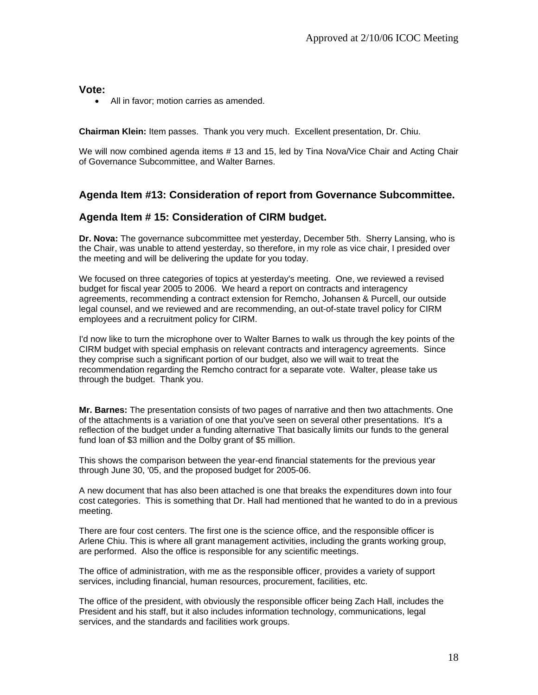**Vote:** 

All in favor; motion carries as amended.

**Chairman Klein:** Item passes. Thank you very much. Excellent presentation, Dr. Chiu.

We will now combined agenda items # 13 and 15, led by Tina Nova/Vice Chair and Acting Chair of Governance Subcommittee, and Walter Barnes.

### **Agenda Item #13: Consideration of report from Governance Subcommittee.**

### **Agenda Item # 15: Consideration of CIRM budget.**

**Dr. Nova:** The governance subcommittee met yesterday, December 5th. Sherry Lansing, who is the Chair, was unable to attend yesterday, so therefore, in my role as vice chair, I presided over the meeting and will be delivering the update for you today.

We focused on three categories of topics at yesterday's meeting. One, we reviewed a revised budget for fiscal year 2005 to 2006. We heard a report on contracts and interagency agreements, recommending a contract extension for Remcho, Johansen & Purcell, our outside legal counsel, and we reviewed and are recommending, an out-of-state travel policy for CIRM employees and a recruitment policy for CIRM.

I'd now like to turn the microphone over to Walter Barnes to walk us through the key points of the CIRM budget with special emphasis on relevant contracts and interagency agreements. Since they comprise such a significant portion of our budget, also we will wait to treat the recommendation regarding the Remcho contract for a separate vote. Walter, please take us through the budget. Thank you.

**Mr. Barnes:** The presentation consists of two pages of narrative and then two attachments. One of the attachments is a variation of one that you've seen on several other presentations. It's a reflection of the budget under a funding alternative That basically limits our funds to the general fund loan of \$3 million and the Dolby grant of \$5 million.

This shows the comparison between the year-end financial statements for the previous year through June 30, '05, and the proposed budget for 2005-06.

A new document that has also been attached is one that breaks the expenditures down into four cost categories. This is something that Dr. Hall had mentioned that he wanted to do in a previous meeting.

There are four cost centers. The first one is the science office, and the responsible officer is Arlene Chiu. This is where all grant management activities, including the grants working group, are performed. Also the office is responsible for any scientific meetings.

The office of administration, with me as the responsible officer, provides a variety of support services, including financial, human resources, procurement, facilities, etc.

The office of the president, with obviously the responsible officer being Zach Hall, includes the President and his staff, but it also includes information technology, communications, legal services, and the standards and facilities work groups.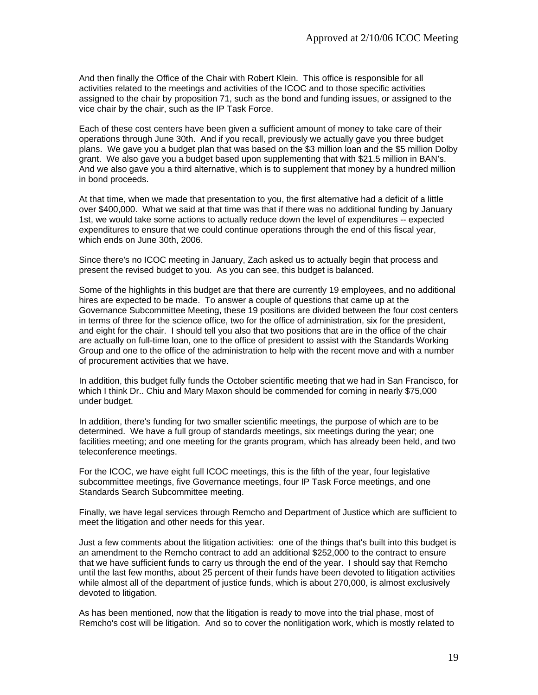And then finally the Office of the Chair with Robert Klein. This office is responsible for all activities related to the meetings and activities of the ICOC and to those specific activities assigned to the chair by proposition 71, such as the bond and funding issues, or assigned to the vice chair by the chair, such as the IP Task Force.

Each of these cost centers have been given a sufficient amount of money to take care of their operations through June 30th. And if you recall, previously we actually gave you three budget plans. We gave you a budget plan that was based on the \$3 million loan and the \$5 million Dolby grant. We also gave you a budget based upon supplementing that with \$21.5 million in BAN's. And we also gave you a third alternative, which is to supplement that money by a hundred million in bond proceeds.

At that time, when we made that presentation to you, the first alternative had a deficit of a little over \$400,000. What we said at that time was that if there was no additional funding by January 1st, we would take some actions to actually reduce down the level of expenditures -- expected expenditures to ensure that we could continue operations through the end of this fiscal year, which ends on June 30th, 2006.

Since there's no ICOC meeting in January, Zach asked us to actually begin that process and present the revised budget to you. As you can see, this budget is balanced.

Some of the highlights in this budget are that there are currently 19 employees, and no additional hires are expected to be made. To answer a couple of questions that came up at the Governance Subcommittee Meeting, these 19 positions are divided between the four cost centers in terms of three for the science office, two for the office of administration, six for the president, and eight for the chair. I should tell you also that two positions that are in the office of the chair are actually on full-time loan, one to the office of president to assist with the Standards Working Group and one to the office of the administration to help with the recent move and with a number of procurement activities that we have.

In addition, this budget fully funds the October scientific meeting that we had in San Francisco, for which I think Dr.. Chiu and Mary Maxon should be commended for coming in nearly \$75,000 under budget.

In addition, there's funding for two smaller scientific meetings, the purpose of which are to be determined. We have a full group of standards meetings, six meetings during the year; one facilities meeting; and one meeting for the grants program, which has already been held, and two teleconference meetings.

For the ICOC, we have eight full ICOC meetings, this is the fifth of the year, four legislative subcommittee meetings, five Governance meetings, four IP Task Force meetings, and one Standards Search Subcommittee meeting.

Finally, we have legal services through Remcho and Department of Justice which are sufficient to meet the litigation and other needs for this year.

Just a few comments about the litigation activities: one of the things that's built into this budget is an amendment to the Remcho contract to add an additional \$252,000 to the contract to ensure that we have sufficient funds to carry us through the end of the year. I should say that Remcho until the last few months, about 25 percent of their funds have been devoted to litigation activities while almost all of the department of justice funds, which is about 270,000, is almost exclusively devoted to litigation.

As has been mentioned, now that the litigation is ready to move into the trial phase, most of Remcho's cost will be litigation. And so to cover the nonlitigation work, which is mostly related to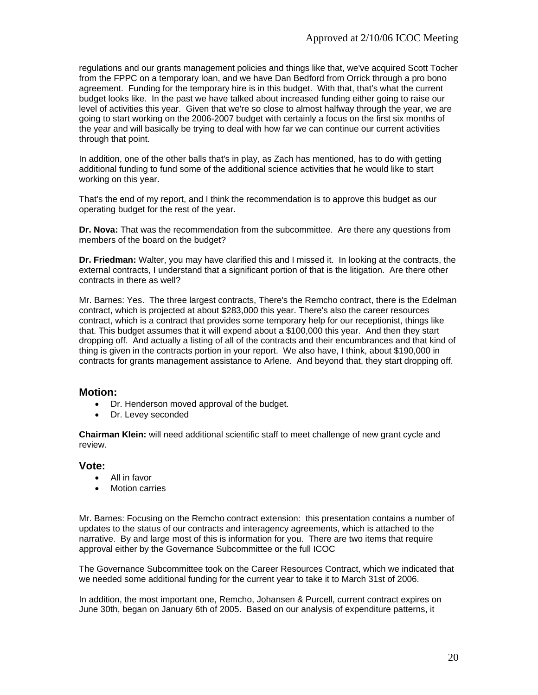regulations and our grants management policies and things like that, we've acquired Scott Tocher from the FPPC on a temporary loan, and we have Dan Bedford from Orrick through a pro bono agreement. Funding for the temporary hire is in this budget. With that, that's what the current budget looks like. In the past we have talked about increased funding either going to raise our level of activities this year. Given that we're so close to almost halfway through the year, we are going to start working on the 2006-2007 budget with certainly a focus on the first six months of the year and will basically be trying to deal with how far we can continue our current activities through that point.

In addition, one of the other balls that's in play, as Zach has mentioned, has to do with getting additional funding to fund some of the additional science activities that he would like to start working on this year.

That's the end of my report, and I think the recommendation is to approve this budget as our operating budget for the rest of the year.

**Dr. Nova:** That was the recommendation from the subcommittee. Are there any questions from members of the board on the budget?

**Dr. Friedman:** Walter, you may have clarified this and I missed it. In looking at the contracts, the external contracts, I understand that a significant portion of that is the litigation. Are there other contracts in there as well?

Mr. Barnes: Yes. The three largest contracts, There's the Remcho contract, there is the Edelman contract, which is projected at about \$283,000 this year. There's also the career resources contract, which is a contract that provides some temporary help for our receptionist, things like that. This budget assumes that it will expend about a \$100,000 this year. And then they start dropping off. And actually a listing of all of the contracts and their encumbrances and that kind of thing is given in the contracts portion in your report. We also have, I think, about \$190,000 in contracts for grants management assistance to Arlene. And beyond that, they start dropping off.

#### **Motion:**

- Dr. Henderson moved approval of the budget.
- Dr. Levey seconded

**Chairman Klein:** will need additional scientific staff to meet challenge of new grant cycle and review.

#### **Vote:**

- All in favor
- **Motion carries**

Mr. Barnes: Focusing on the Remcho contract extension: this presentation contains a number of updates to the status of our contracts and interagency agreements, which is attached to the narrative. By and large most of this is information for you. There are two items that require approval either by the Governance Subcommittee or the full ICOC

The Governance Subcommittee took on the Career Resources Contract, which we indicated that we needed some additional funding for the current year to take it to March 31st of 2006.

In addition, the most important one, Remcho, Johansen & Purcell, current contract expires on June 30th, began on January 6th of 2005. Based on our analysis of expenditure patterns, it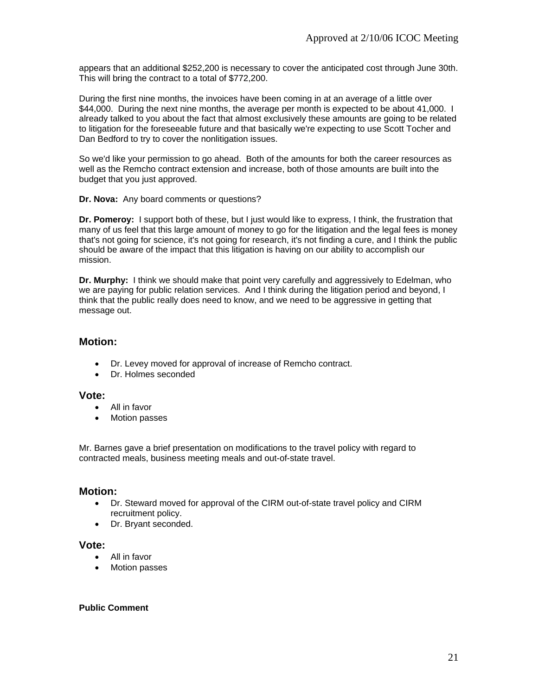appears that an additional \$252,200 is necessary to cover the anticipated cost through June 30th. This will bring the contract to a total of \$772,200.

During the first nine months, the invoices have been coming in at an average of a little over \$44,000. During the next nine months, the average per month is expected to be about 41,000. I already talked to you about the fact that almost exclusively these amounts are going to be related to litigation for the foreseeable future and that basically we're expecting to use Scott Tocher and Dan Bedford to try to cover the nonlitigation issues.

So we'd like your permission to go ahead. Both of the amounts for both the career resources as well as the Remcho contract extension and increase, both of those amounts are built into the budget that you just approved.

**Dr. Nova:** Any board comments or questions?

**Dr. Pomeroy:** I support both of these, but I just would like to express, I think, the frustration that many of us feel that this large amount of money to go for the litigation and the legal fees is money that's not going for science, it's not going for research, it's not finding a cure, and I think the public should be aware of the impact that this litigation is having on our ability to accomplish our mission.

**Dr. Murphy:** I think we should make that point very carefully and aggressively to Edelman, who we are paying for public relation services. And I think during the litigation period and beyond, I think that the public really does need to know, and we need to be aggressive in getting that message out.

### **Motion:**

- Dr. Levey moved for approval of increase of Remcho contract.
- Dr. Holmes seconded

#### **Vote:**

- All in favor
- Motion passes

Mr. Barnes gave a brief presentation on modifications to the travel policy with regard to contracted meals, business meeting meals and out-of-state travel.

#### **Motion:**

- Dr. Steward moved for approval of the CIRM out-of-state travel policy and CIRM recruitment policy.
- Dr. Bryant seconded.

#### **Vote:**

- All in favor
- Motion passes

#### **Public Comment**